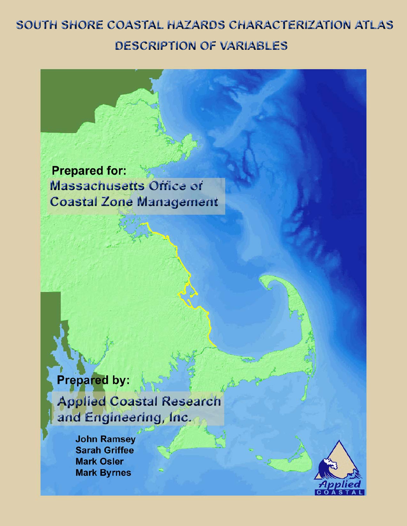# SOUTH SHORE COASTAL HAZARDS CHARACTERIZATION ATLAS **DESCRIPTION OF VARIABLES**

**Prepared for: Massachusetts Office of Coastal Zone Management** 

**Prepared by: Applied Coastal Research** and Engineering, Inc.

> **John Ramsey Sarah Griffee Mark Osler Mark Byrnes**

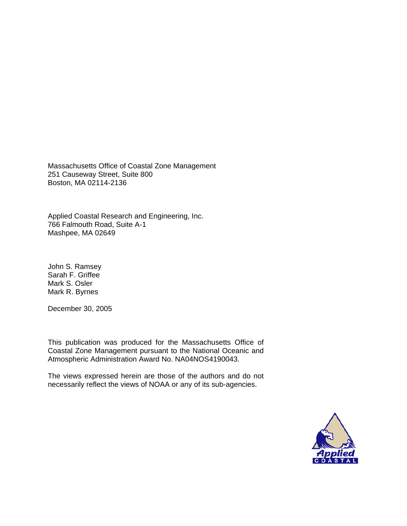### SOUTH SHORE COASTAL HAZARDS CHARACTERIZATION ATLAS DESCRIPTION OF VARIABLES

Prepared for:

Massachusetts Office of Coastal Zone Management 251 Causeway Street, Suite 800 Boston, MA 02114-2136

Prepared by:

Applied Coastal Research and Engineering, Inc. 766 Falmouth Road, Suite A-1 Mashpee, MA 02649

Authors:

John S. Ramsey Sarah F. Griffee Mark S. Osler Mark R. Byrnes

December 30, 2005

This publication was produced for the Massachusetts Office of Coastal Zone Management pursuant to the National Oceanic and Atmospheric Administration Award No. NA04NOS4190043.

The views expressed herein are those of the authors and do not necessarily reflect the views of NOAA or any of its sub-agencies.

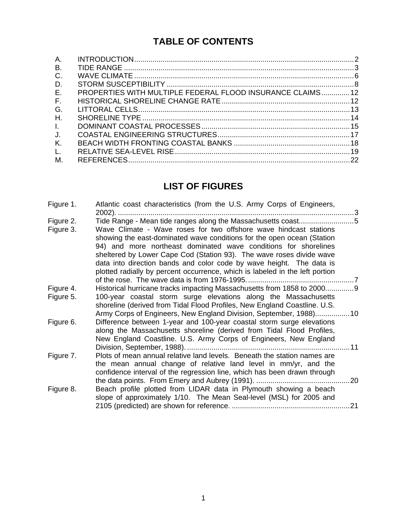## **TABLE OF CONTENTS**

| Α.           |                                                            |  |
|--------------|------------------------------------------------------------|--|
| В.           |                                                            |  |
| C.           |                                                            |  |
| D.           |                                                            |  |
| E.           | PROPERTIES WITH MULTIPLE FEDERAL FLOOD INSURANCE CLAIMS 12 |  |
| E.           |                                                            |  |
| G.           |                                                            |  |
| Η.           |                                                            |  |
| $\mathbf{L}$ |                                                            |  |
| J.           |                                                            |  |
| К.           |                                                            |  |
| L.           |                                                            |  |
| М.           |                                                            |  |

## **LIST OF FIGURES**

| Figure 1. | Atlantic coast characteristics (from the U.S. Army Corps of Engineers,                                                                                                                                                                                                                                                                                                                                                                         |  |
|-----------|------------------------------------------------------------------------------------------------------------------------------------------------------------------------------------------------------------------------------------------------------------------------------------------------------------------------------------------------------------------------------------------------------------------------------------------------|--|
| Figure 2. | Tide Range - Mean tide ranges along the Massachusetts coast5                                                                                                                                                                                                                                                                                                                                                                                   |  |
| Figure 3. | Wave Climate - Wave roses for two offshore wave hindcast stations<br>showing the east-dominated wave conditions for the open ocean (Station<br>94) and more northeast dominated wave conditions for shorelines<br>sheltered by Lower Cape Cod (Station 93). The wave roses divide wave<br>data into direction bands and color code by wave height. The data is<br>plotted radially by percent occurrence, which is labeled in the left portion |  |
|           |                                                                                                                                                                                                                                                                                                                                                                                                                                                |  |
| Figure 4. | Historical hurricane tracks impacting Massachusetts from 1858 to 20009                                                                                                                                                                                                                                                                                                                                                                         |  |
| Figure 5. | 100-year coastal storm surge elevations along the Massachusetts<br>shoreline (derived from Tidal Flood Profiles, New England Coastline. U.S.                                                                                                                                                                                                                                                                                                   |  |
|           | Army Corps of Engineers, New England Division, September, 1988)10                                                                                                                                                                                                                                                                                                                                                                              |  |
| Figure 6. | Difference between 1-year and 100-year coastal storm surge elevations<br>along the Massachusetts shoreline (derived from Tidal Flood Profiles,<br>New England Coastline. U.S. Army Corps of Engineers, New England                                                                                                                                                                                                                             |  |
|           |                                                                                                                                                                                                                                                                                                                                                                                                                                                |  |
| Figure 7. | Plots of mean annual relative land levels. Beneath the station names are<br>the mean annual change of relative land level in mm/yr, and the<br>confidence interval of the regression line, which has been drawn through                                                                                                                                                                                                                        |  |
|           |                                                                                                                                                                                                                                                                                                                                                                                                                                                |  |
| Figure 8. | Beach profile plotted from LIDAR data in Plymouth showing a beach<br>slope of approximately 1/10. The Mean Seal-level (MSL) for 2005 and                                                                                                                                                                                                                                                                                                       |  |
|           |                                                                                                                                                                                                                                                                                                                                                                                                                                                |  |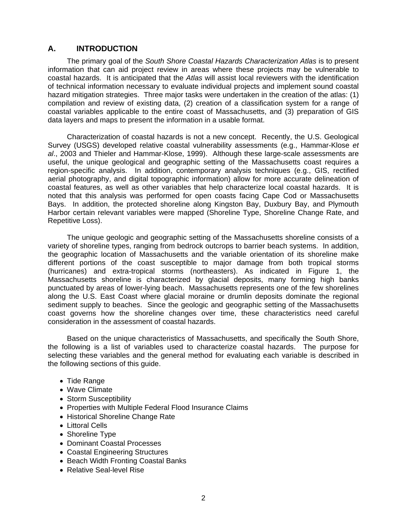#### **A. INTRODUCTION**

 The primary goal of the *South Shore Coastal Hazards Characterization Atlas* is to present information that can aid project review in areas where these projects may be vulnerable to coastal hazards. It is anticipated that the *Atlas* will assist local reviewers with the identification of technical information necessary to evaluate individual projects and implement sound coastal hazard mitigation strategies. Three major tasks were undertaken in the creation of the atlas: (1) compilation and review of existing data, (2) creation of a classification system for a range of coastal variables applicable to the entire coast of Massachusetts, and (3) preparation of GIS data layers and maps to present the information in a usable format.

 Characterization of coastal hazards is not a new concept. Recently, the U.S. Geological Survey (USGS) developed relative coastal vulnerability assessments (e.g., Hammar-Klose *et al*., 2003 and Thieler and Hammar-Klose, 1999). Although these large-scale assessments are useful, the unique geological and geographic setting of the Massachusetts coast requires a region-specific analysis. In addition, contemporary analysis techniques (e.g., GIS, rectified aerial photography, and digital topographic information) allow for more accurate delineation of coastal features, as well as other variables that help characterize local coastal hazards. It is noted that this analysis was performed for open coasts facing Cape Cod or Massachusetts Bays. In addition, the protected shoreline along Kingston Bay, Duxbury Bay, and Plymouth Harbor certain relevant variables were mapped (Shoreline Type, Shoreline Change Rate, and Repetitive Loss).

 The unique geologic and geographic setting of the Massachusetts shoreline consists of a variety of shoreline types, ranging from bedrock outcrops to barrier beach systems. In addition, the geographic location of Massachusetts and the variable orientation of its shoreline make different portions of the coast susceptible to major damage from both tropical storms (hurricanes) and extra-tropical storms (northeasters). As indicated in Figure 1, the Massachusetts shoreline is characterized by glacial deposits, many forming high banks punctuated by areas of lower-lying beach. Massachusetts represents one of the few shorelines along the U.S. East Coast where glacial moraine or drumlin deposits dominate the regional sediment supply to beaches. Since the geologic and geographic setting of the Massachusetts coast governs how the shoreline changes over time, these characteristics need careful consideration in the assessment of coastal hazards.

 Based on the unique characteristics of Massachusetts, and specifically the South Shore, the following is a list of variables used to characterize coastal hazards. The purpose for selecting these variables and the general method for evaluating each variable is described in the following sections of this guide.

- Tide Range
- Wave Climate
- Storm Susceptibility
- Properties with Multiple Federal Flood Insurance Claims
- Historical Shoreline Change Rate
- Littoral Cells
- Shoreline Type
- Dominant Coastal Processes
- Coastal Engineering Structures
- Beach Width Fronting Coastal Banks
- Relative Seal-level Rise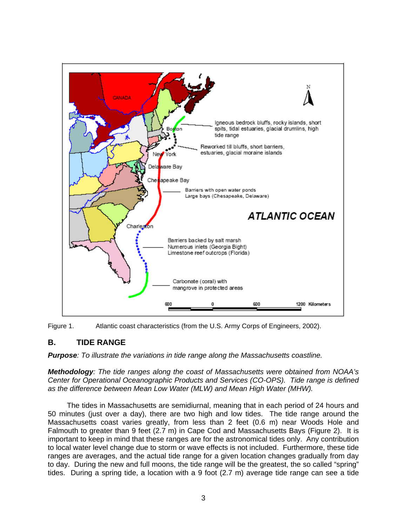



#### **B. TIDE RANGE**

*Purpose: To illustrate the variations in tide range along the Massachusetts coastline.* 

*Methodology: The tide ranges along the coast of Massachusetts were obtained from NOAA's Center for Operational Oceanographic Products and Services (CO-OPS). Tide range is defined as the difference between Mean Low Water (MLW) and Mean High Water (MHW).* 

 The tides in Massachusetts are semidiurnal, meaning that in each period of 24 hours and 50 minutes (just over a day), there are two high and low tides. The tide range around the Massachusetts coast varies greatly, from less than 2 feet (0.6 m) near Woods Hole and Falmouth to greater than 9 feet (2.7 m) in Cape Cod and Massachusetts Bays (Figure 2). It is important to keep in mind that these ranges are for the astronomical tides only. Any contribution to local water level change due to storm or wave effects is not included. Furthermore, these tide ranges are averages, and the actual tide range for a given location changes gradually from day to day. During the new and full moons, the tide range will be the greatest, the so called "spring" tides. During a spring tide, a location with a 9 foot (2.7 m) average tide range can see a tide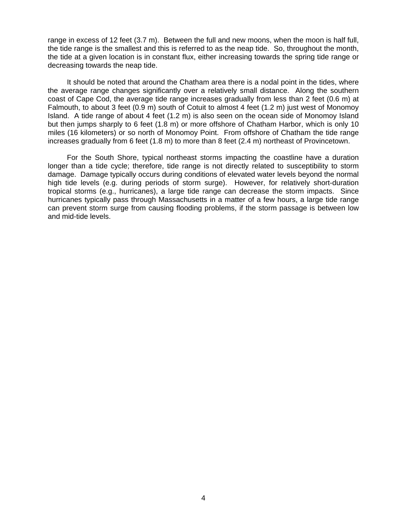range in excess of 12 feet (3.7 m). Between the full and new moons, when the moon is half full, the tide range is the smallest and this is referred to as the neap tide. So, throughout the month, the tide at a given location is in constant flux, either increasing towards the spring tide range or decreasing towards the neap tide.

 It should be noted that around the Chatham area there is a nodal point in the tides, where the average range changes significantly over a relatively small distance. Along the southern coast of Cape Cod, the average tide range increases gradually from less than 2 feet (0.6 m) at Falmouth, to about 3 feet (0.9 m) south of Cotuit to almost 4 feet (1.2 m) just west of Monomoy Island. A tide range of about 4 feet (1.2 m) is also seen on the ocean side of Monomoy Island but then jumps sharply to 6 feet (1.8 m) or more offshore of Chatham Harbor, which is only 10 miles (16 kilometers) or so north of Monomoy Point. From offshore of Chatham the tide range increases gradually from 6 feet (1.8 m) to more than 8 feet (2.4 m) northeast of Provincetown.

 For the South Shore, typical northeast storms impacting the coastline have a duration longer than a tide cycle; therefore, tide range is not directly related to susceptibility to storm damage. Damage typically occurs during conditions of elevated water levels beyond the normal high tide levels (e.g. during periods of storm surge). However, for relatively short-duration tropical storms (e.g., hurricanes), a large tide range can decrease the storm impacts. Since hurricanes typically pass through Massachusetts in a matter of a few hours, a large tide range can prevent storm surge from causing flooding problems, if the storm passage is between low and mid-tide levels.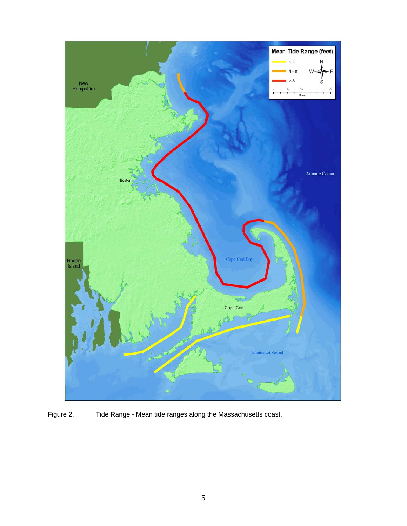

Figure 2. Tide Range - Mean tide ranges along the Massachusetts coast.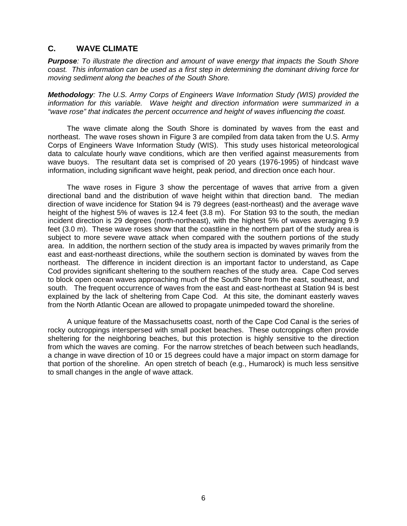#### **C. WAVE CLIMATE**

*Purpose: To illustrate the direction and amount of wave energy that impacts the South Shore coast. This information can be used as a first step in determining the dominant driving force for moving sediment along the beaches of the South Shore.* 

*Methodology: The U.S. Army Corps of Engineers Wave Information Study (WIS) provided the information for this variable. Wave height and direction information were summarized in a "wave rose" that indicates the percent occurrence and height of waves influencing the coast.* 

 The wave climate along the South Shore is dominated by waves from the east and northeast. The wave roses shown in Figure 3 are compiled from data taken from the U.S. Army Corps of Engineers Wave Information Study (WIS). This study uses historical meteorological data to calculate hourly wave conditions, which are then verified against measurements from wave buoys. The resultant data set is comprised of 20 years (1976-1995) of hindcast wave information, including significant wave height, peak period, and direction once each hour.

 The wave roses in Figure 3 show the percentage of waves that arrive from a given directional band and the distribution of wave height within that direction band. The median direction of wave incidence for Station 94 is 79 degrees (east-northeast) and the average wave height of the highest 5% of waves is 12.4 feet (3.8 m). For Station 93 to the south, the median incident direction is 29 degrees (north-northeast), with the highest 5% of waves averaging 9.9 feet (3.0 m). These wave roses show that the coastline in the northern part of the study area is subject to more severe wave attack when compared with the southern portions of the study area. In addition, the northern section of the study area is impacted by waves primarily from the east and east-northeast directions, while the southern section is dominated by waves from the northeast. The difference in incident direction is an important factor to understand, as Cape Cod provides significant sheltering to the southern reaches of the study area. Cape Cod serves to block open ocean waves approaching much of the South Shore from the east, southeast, and south. The frequent occurrence of waves from the east and east-northeast at Station 94 is best explained by the lack of sheltering from Cape Cod. At this site, the dominant easterly waves from the North Atlantic Ocean are allowed to propagate unimpeded toward the shoreline.

 A unique feature of the Massachusetts coast, north of the Cape Cod Canal is the series of rocky outcroppings interspersed with small pocket beaches. These outcroppings often provide sheltering for the neighboring beaches, but this protection is highly sensitive to the direction from which the waves are coming. For the narrow stretches of beach between such headlands, a change in wave direction of 10 or 15 degrees could have a major impact on storm damage for that portion of the shoreline. An open stretch of beach (e.g., Humarock) is much less sensitive to small changes in the angle of wave attack.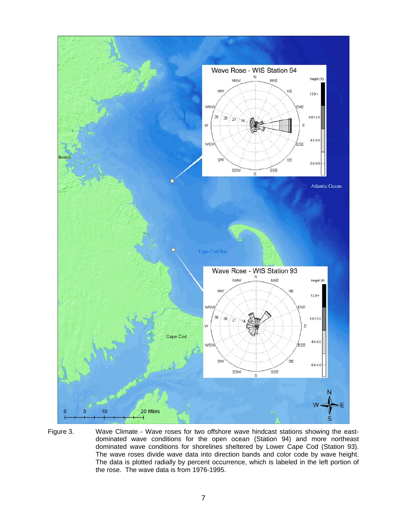

Figure 3. Wave Climate - Wave roses for two offshore wave hindcast stations showing the eastdominated wave conditions for the open ocean (Station 94) and more northeast dominated wave conditions for shorelines sheltered by Lower Cape Cod (Station 93). The wave roses divide wave data into direction bands and color code by wave height. The data is plotted radially by percent occurrence, which is labeled in the left portion of the rose. The wave data is from 1976-1995.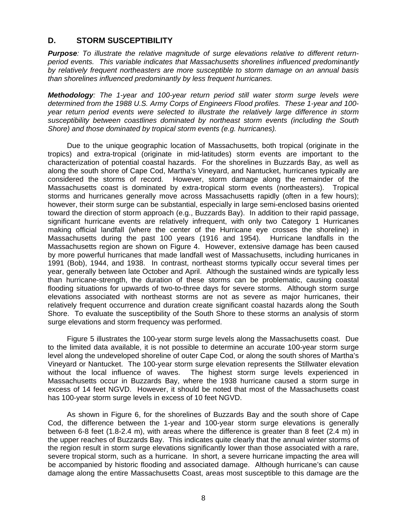#### **D. STORM SUSCEPTIBILITY**

*Purpose: To illustrate the relative magnitude of surge elevations relative to different returnperiod events. This variable indicates that Massachusetts shorelines influenced predominantly by relatively frequent northeasters are more susceptible to storm damage on an annual basis than shorelines influenced predominantly by less frequent hurricanes.* 

*Methodology: The 1-year and 100-year return period still water storm surge levels were determined from the 1988 U.S. Army Corps of Engineers Flood profiles. These 1-year and 100 year return period events were selected to illustrate the relatively large difference in storm susceptibility between coastlines dominated by northeast storm events (including the South Shore) and those dominated by tropical storm events (e.g. hurricanes).* 

 Due to the unique geographic location of Massachusetts, both tropical (originate in the tropics) and extra-tropical (originate in mid-latitudes) storm events are important to the characterization of potential coastal hazards. For the shorelines in Buzzards Bay, as well as along the south shore of Cape Cod, Martha's Vineyard, and Nantucket, hurricanes typically are considered the storms of record. However, storm damage along the remainder of the Massachusetts coast is dominated by extra-tropical storm events (northeasters). Tropical storms and hurricanes generally move across Massachusetts rapidly (often in a few hours); however, their storm surge can be substantial, especially in large semi-enclosed basins oriented toward the direction of storm approach (e.g., Buzzards Bay). In addition to their rapid passage, significant hurricane events are relatively infrequent, with only two Category 1 Hurricanes making official landfall (where the center of the Hurricane eye crosses the shoreline) in Massachusetts during the past 100 years (1916 and 1954). Hurricane landfalls in the Massachusetts region are shown on Figure 4. However, extensive damage has been caused by more powerful hurricanes that made landfall west of Massachusetts, including hurricanes in 1991 (Bob), 1944, and 1938. In contrast, northeast storms typically occur several times per year, generally between late October and April. Although the sustained winds are typically less than hurricane-strength, the duration of these storms can be problematic, causing coastal flooding situations for upwards of two-to-three days for severe storms. Although storm surge elevations associated with northeast storms are not as severe as major hurricanes, their relatively frequent occurrence and duration create significant coastal hazards along the South Shore. To evaluate the susceptibility of the South Shore to these storms an analysis of storm surge elevations and storm frequency was performed.

 Figure 5 illustrates the 100-year storm surge levels along the Massachusetts coast. Due to the limited data available, it is not possible to determine an accurate 100-year storm surge level along the undeveloped shoreline of outer Cape Cod, or along the south shores of Martha's Vineyard or Nantucket. The 100-year storm surge elevation represents the Stillwater elevation without the local influence of waves. The highest storm surge levels experienced in Massachusetts occur in Buzzards Bay, where the 1938 hurricane caused a storm surge in excess of 14 feet NGVD. However, it should be noted that most of the Massachusetts coast has 100-year storm surge levels in excess of 10 feet NGVD.

 As shown in Figure 6, for the shorelines of Buzzards Bay and the south shore of Cape Cod, the difference between the 1-year and 100-year storm surge elevations is generally between 6-8 feet (1.8-2.4 m), with areas where the difference is greater than 8 feet (2.4 m) in the upper reaches of Buzzards Bay. This indicates quite clearly that the annual winter storms of the region result in storm surge elevations significantly lower than those associated with a rare, severe tropical storm, such as a hurricane. In short, a severe hurricane impacting the area will be accompanied by historic flooding and associated damage. Although hurricane's can cause damage along the entire Massachusetts Coast, areas most susceptible to this damage are the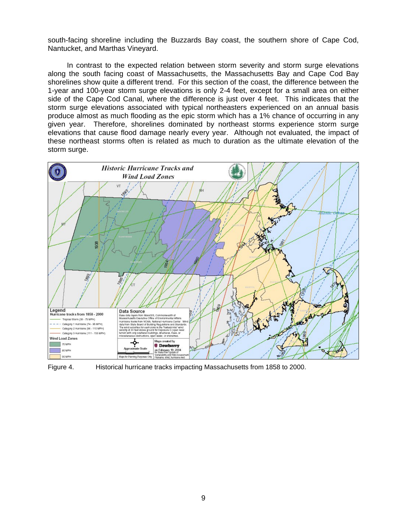south-facing shoreline including the Buzzards Bay coast, the southern shore of Cape Cod, Nantucket, and Marthas Vineyard.

 In contrast to the expected relation between storm severity and storm surge elevations along the south facing coast of Massachusetts, the Massachusetts Bay and Cape Cod Bay shorelines show quite a different trend. For this section of the coast, the difference between the 1-year and 100-year storm surge elevations is only 2-4 feet, except for a small area on either side of the Cape Cod Canal, where the difference is just over 4 feet. This indicates that the storm surge elevations associated with typical northeasters experienced on an annual basis produce almost as much flooding as the epic storm which has a 1% chance of occurring in any given year. Therefore, shorelines dominated by northeast storms experience storm surge elevations that cause flood damage nearly every year. Although not evaluated, the impact of these northeast storms often is related as much to duration as the ultimate elevation of the storm surge.



Figure 4. Historical hurricane tracks impacting Massachusetts from 1858 to 2000.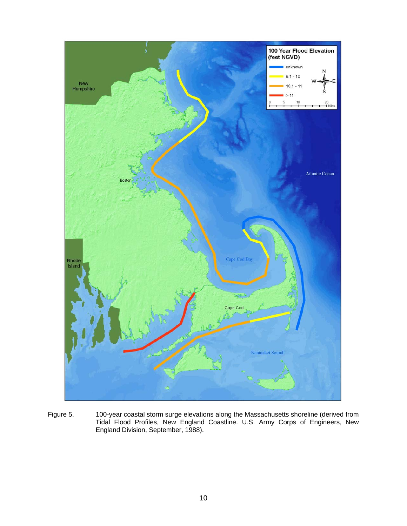

Figure 5. 100-year coastal storm surge elevations along the Massachusetts shoreline (derived from Tidal Flood Profiles, New England Coastline. U.S. Army Corps of Engineers, New England Division, September, 1988).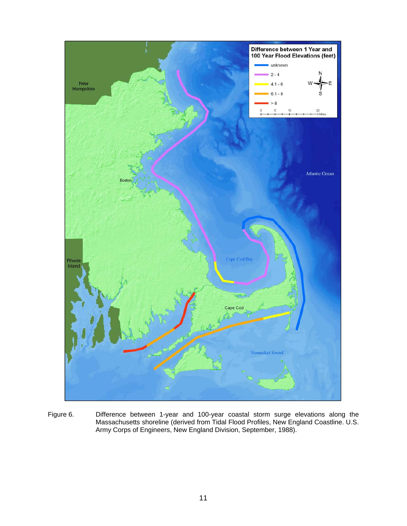

Figure 6. Difference between 1-year and 100-year coastal storm surge elevations along the Massachusetts shoreline (derived from Tidal Flood Profiles, New England Coastline. U.S. Army Corps of Engineers, New England Division, September, 1988).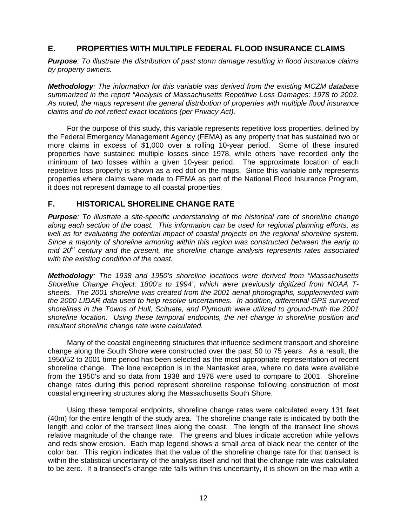#### **E. PROPERTIES WITH MULTIPLE FEDERAL FLOOD INSURANCE CLAIMS**

*Purpose: To illustrate the distribution of past storm damage resulting in flood insurance claims by property owners.* 

*Methodology: The information for this variable was derived from the existing MCZM database summarized in the report "Analysis of Massachusetts Repetitive Loss Damages: 1978 to 2002. As noted, the maps represent the general distribution of properties with multiple flood insurance claims and do not reflect exact locations (per Privacy Act).* 

 For the purpose of this study, this variable represents repetitive loss properties, defined by the Federal Emergency Management Agency (FEMA) as any property that has sustained two or more claims in excess of \$1,000 over a rolling 10-year period. Some of these insured properties have sustained multiple losses since 1978, while others have recorded only the minimum of two losses within a given 10-year period. The approximate location of each repetitive loss property is shown as a red dot on the maps. Since this variable only represents properties where claims were made to FEMA as part of the National Flood Insurance Program, it does not represent damage to all coastal properties.

#### **F. HISTORICAL SHORELINE CHANGE RATE**

*Purpose: To illustrate a site-specific understanding of the historical rate of shoreline change along each section of the coast. This information can be used for regional planning efforts, as*  well as for evaluating the potential impact of coastal projects on the regional shoreline system. *Since a majority of shoreline armoring within this region was constructed between the early to mid 20th century and the present, the shoreline change analysis represents rates associated with the existing condition of the coast.* 

*Methodology: The 1938 and 1950's shoreline locations were derived from "Massachusetts Shoreline Change Project: 1800's to 1994", which were previously digitized from NOAA Tsheets. The 2001 shoreline was created from the 2001 aerial photographs, supplemented with the 2000 LIDAR data used to help resolve uncertainties. In addition, differential GPS surveyed shorelines in the Towns of Hull, Scituate, and Plymouth were utilized to ground-truth the 2001 shoreline location. Using these temporal endpoints, the net change in shoreline position and resultant shoreline change rate were calculated.* 

 Many of the coastal engineering structures that influence sediment transport and shoreline change along the South Shore were constructed over the past 50 to 75 years. As a result, the 1950/52 to 2001 time period has been selected as the most appropriate representation of recent shoreline change. The lone exception is in the Nantasket area, where no data were available from the 1950's and so data from 1938 and 1978 were used to compare to 2001. Shoreline change rates during this period represent shoreline response following construction of most coastal engineering structures along the Massachusetts South Shore.

 Using these temporal endpoints, shoreline change rates were calculated every 131 feet (40m) for the entire length of the study area. The shoreline change rate is indicated by both the length and color of the transect lines along the coast. The length of the transect line shows relative magnitude of the change rate. The greens and blues indicate accretion while yellows and reds show erosion. Each map legend shows a small area of black near the center of the color bar. This region indicates that the value of the shoreline change rate for that transect is within the statistical uncertainty of the analysis itself and not that the change rate was calculated to be zero. If a transect's change rate falls within this uncertainty, it is shown on the map with a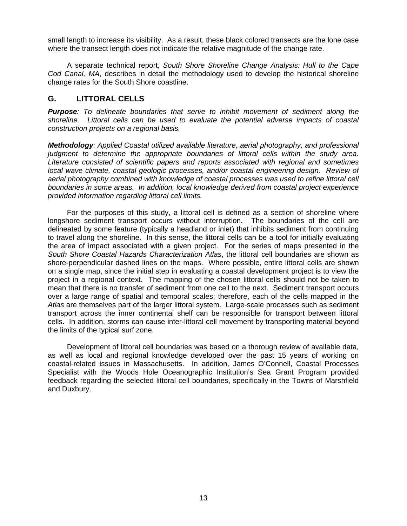small length to increase its visibility. As a result, these black colored transects are the lone case where the transect length does not indicate the relative magnitude of the change rate.

 A separate technical report, *South Shore Shoreline Change Analysis: Hull to the Cape Cod Canal, MA*, describes in detail the methodology used to develop the historical shoreline change rates for the South Shore coastline.

#### **G. LITTORAL CELLS**

*Purpose: To delineate boundaries that serve to inhibit movement of sediment along the shoreline. Littoral cells can be used to evaluate the potential adverse impacts of coastal construction projects on a regional basis.* 

*Methodology: Applied Coastal utilized available literature, aerial photography, and professional judgment to determine the appropriate boundaries of littoral cells within the study area. Literature consisted of scientific papers and reports associated with regional and sometimes local wave climate, coastal geologic processes, and/or coastal engineering design. Review of aerial photography combined with knowledge of coastal processes was used to refine littoral cell boundaries in some areas. In addition, local knowledge derived from coastal project experience provided information regarding littoral cell limits.* 

 For the purposes of this study, a littoral cell is defined as a section of shoreline where longshore sediment transport occurs without interruption. The boundaries of the cell are delineated by some feature (typically a headland or inlet) that inhibits sediment from continuing to travel along the shoreline. In this sense, the littoral cells can be a tool for initially evaluating the area of impact associated with a given project. For the series of maps presented in the *South Shore Coastal Hazards Characterization Atlas*, the littoral cell boundaries are shown as shore-perpendicular dashed lines on the maps. Where possible, entire littoral cells are shown on a single map, since the initial step in evaluating a coastal development project is to view the project in a regional context. The mapping of the chosen littoral cells should not be taken to mean that there is no transfer of sediment from one cell to the next. Sediment transport occurs over a large range of spatial and temporal scales; therefore, each of the cells mapped in the *Atlas* are themselves part of the larger littoral system. Large-scale processes such as sediment transport across the inner continental shelf can be responsible for transport between littoral cells. In addition, storms can cause inter-littoral cell movement by transporting material beyond the limits of the typical surf zone.

 Development of littoral cell boundaries was based on a thorough review of available data, as well as local and regional knowledge developed over the past 15 years of working on coastal-related issues in Massachusetts. In addition, James O'Connell, Coastal Processes Specialist with the Woods Hole Oceanographic Institution's Sea Grant Program provided feedback regarding the selected littoral cell boundaries, specifically in the Towns of Marshfield and Duxbury.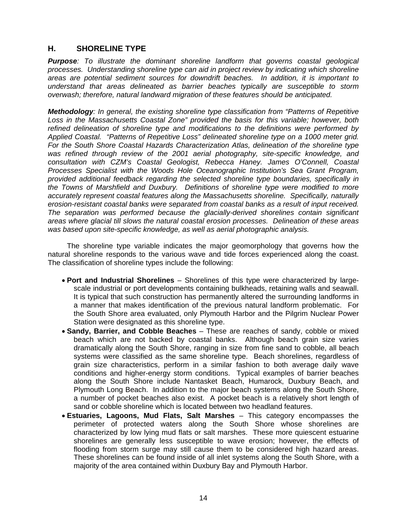#### **H. SHORELINE TYPE**

*Purpose: To illustrate the dominant shoreline landform that governs coastal geological processes. Understanding shoreline type can aid in project review by indicating which shoreline areas are potential sediment sources for downdrift beaches. In addition, it is important to understand that areas delineated as barrier beaches typically are susceptible to storm overwash; therefore, natural landward migration of these features should be anticipated.* 

*Methodology: In general, the existing shoreline type classification from "Patterns of Repetitive Loss in the Massachusetts Coastal Zone" provided the basis for this variable; however, both refined delineation of shoreline type and modifications to the definitions were performed by Applied Coastal. "Patterns of Repetitive Loss" delineated shoreline type on a 1000 meter grid. For the South Shore Coastal Hazards Characterization Atlas, delineation of the shoreline type was refined through review of the 2001 aerial photography, site-specific knowledge, and consultation with CZM's Coastal Geologist, Rebecca Haney. James O'Connell, Coastal Processes Specialist with the Woods Hole Oceanographic Institution's Sea Grant Program, provided additional feedback regarding the selected shoreline type boundaries, specifically in the Towns of Marshfield and Duxbury. Definitions of shoreline type were modified to more accurately represent coastal features along the Massachusetts shoreline. Specifically, naturally erosion-resistant coastal banks were separated from coastal banks as a result of input received. The separation was performed because the glacially-derived shorelines contain significant areas where glacial till slows the natural coastal erosion processes. Delineation of these areas was based upon site-specific knowledge, as well as aerial photographic analysis.*

 The shoreline type variable indicates the major geomorphology that governs how the natural shoreline responds to the various wave and tide forces experienced along the coast. The classification of shoreline types include the following:

- **Port and Industrial Shorelines**  Shorelines of this type were characterized by largescale industrial or port developments containing bulkheads, retaining walls and seawall. It is typical that such construction has permanently altered the surrounding landforms in a manner that makes identification of the previous natural landform problematic. For the South Shore area evaluated, only Plymouth Harbor and the Pilgrim Nuclear Power Station were designated as this shoreline type.
- **Sandy, Barrier, and Cobble Beaches**  These are reaches of sandy, cobble or mixed beach which are not backed by coastal banks. Although beach grain size varies dramatically along the South Shore, ranging in size from fine sand to cobble, all beach systems were classified as the same shoreline type. Beach shorelines, regardless of grain size characteristics, perform in a similar fashion to both average daily wave conditions and higher-energy storm conditions. Typical examples of barrier beaches along the South Shore include Nantasket Beach, Humarock, Duxbury Beach, and Plymouth Long Beach. In addition to the major beach systems along the South Shore, a number of pocket beaches also exist. A pocket beach is a relatively short length of sand or cobble shoreline which is located between two headland features.
- **Estuaries, Lagoons, Mud Flats, Salt Marshes** This category encompasses the perimeter of protected waters along the South Shore whose shorelines are characterized by low lying mud flats or salt marshes. These more quiescent estuarine shorelines are generally less susceptible to wave erosion; however, the effects of flooding from storm surge may still cause them to be considered high hazard areas. These shorelines can be found inside of all inlet systems along the South Shore, with a majority of the area contained within Duxbury Bay and Plymouth Harbor.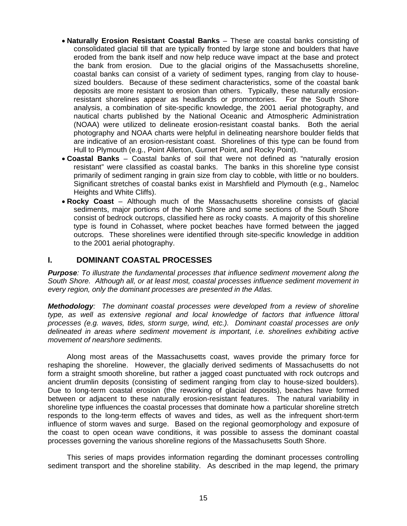- **Naturally Erosion Resistant Coastal Banks**  These are coastal banks consisting of consolidated glacial till that are typically fronted by large stone and boulders that have eroded from the bank itself and now help reduce wave impact at the base and protect the bank from erosion. Due to the glacial origins of the Massachusetts shoreline, coastal banks can consist of a variety of sediment types, ranging from clay to housesized boulders. Because of these sediment characteristics, some of the coastal bank deposits are more resistant to erosion than others. Typically, these naturally erosionresistant shorelines appear as headlands or promontories. For the South Shore analysis, a combination of site-specific knowledge, the 2001 aerial photography, and nautical charts published by the National Oceanic and Atmospheric Administration (NOAA) were utilized to delineate erosion-resistant coastal banks. Both the aerial photography and NOAA charts were helpful in delineating nearshore boulder fields that are indicative of an erosion-resistant coast. Shorelines of this type can be found from Hull to Plymouth (e.g., Point Allerton, Gurnet Point, and Rocky Point).
- **Coastal Banks**  Coastal banks of soil that were not defined as "naturally erosion resistant" were classified as coastal banks. The banks in this shoreline type consist primarily of sediment ranging in grain size from clay to cobble, with little or no boulders. Significant stretches of coastal banks exist in Marshfield and Plymouth (e.g., Nameloc Heights and White Cliffs).
- **Rocky Coast**  Although much of the Massachusetts shoreline consists of glacial sediments, major portions of the North Shore and some sections of the South Shore consist of bedrock outcrops, classified here as rocky coasts. A majority of this shoreline type is found in Cohasset, where pocket beaches have formed between the jagged outcrops. These shorelines were identified through site-specific knowledge in addition to the 2001 aerial photography.

#### **I. DOMINANT COASTAL PROCESSES**

*Purpose: To illustrate the fundamental processes that influence sediment movement along the South Shore. Although all, or at least most, coastal processes influence sediment movement in every region, only the dominant processes are presented in the Atlas.* 

*Methodology: The dominant coastal processes were developed from a review of shoreline type, as well as extensive regional and local knowledge of factors that influence littoral processes (e.g. waves, tides, storm surge, wind, etc.). Dominant coastal processes are only delineated in areas where sediment movement is important, i.e. shorelines exhibiting active movement of nearshore sediments.* 

 Along most areas of the Massachusetts coast, waves provide the primary force for reshaping the shoreline. However, the glacially derived sediments of Massachusetts do not form a straight smooth shoreline, but rather a jagged coast punctuated with rock outcrops and ancient drumlin deposits (consisting of sediment ranging from clay to house-sized boulders). Due to long-term coastal erosion (the reworking of glacial deposits), beaches have formed between or adjacent to these naturally erosion-resistant features. The natural variability in shoreline type influences the coastal processes that dominate how a particular shoreline stretch responds to the long-term effects of waves and tides, as well as the infrequent short-term influence of storm waves and surge. Based on the regional geomorphology and exposure of the coast to open ocean wave conditions, it was possible to assess the dominant coastal processes governing the various shoreline regions of the Massachusetts South Shore.

 This series of maps provides information regarding the dominant processes controlling sediment transport and the shoreline stability. As described in the map legend, the primary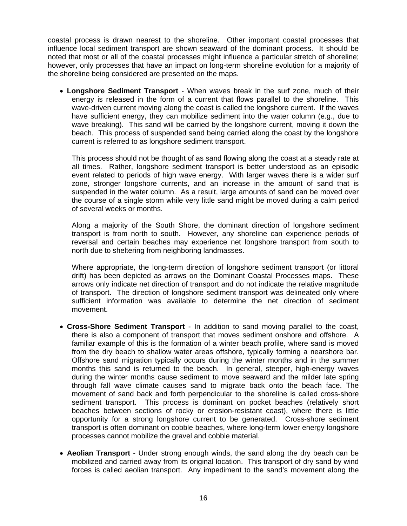coastal process is drawn nearest to the shoreline. Other important coastal processes that influence local sediment transport are shown seaward of the dominant process. It should be noted that most or all of the coastal processes might influence a particular stretch of shoreline; however, only processes that have an impact on long-term shoreline evolution for a majority of the shoreline being considered are presented on the maps.

• **Longshore Sediment Transport** - When waves break in the surf zone, much of their energy is released in the form of a current that flows parallel to the shoreline. This wave-driven current moving along the coast is called the longshore current. If the waves have sufficient energy, they can mobilize sediment into the water column (e.g., due to wave breaking). This sand will be carried by the longshore current, moving it down the beach. This process of suspended sand being carried along the coast by the longshore current is referred to as longshore sediment transport.

This process should not be thought of as sand flowing along the coast at a steady rate at all times. Rather, longshore sediment transport is better understood as an episodic event related to periods of high wave energy. With larger waves there is a wider surf zone, stronger longshore currents, and an increase in the amount of sand that is suspended in the water column. As a result, large amounts of sand can be moved over the course of a single storm while very little sand might be moved during a calm period of several weeks or months.

Along a majority of the South Shore, the dominant direction of longshore sediment transport is from north to south. However, any shoreline can experience periods of reversal and certain beaches may experience net longshore transport from south to north due to sheltering from neighboring landmasses.

Where appropriate, the long-term direction of longshore sediment transport (or littoral drift) has been depicted as arrows on the Dominant Coastal Processes maps. These arrows only indicate net direction of transport and do not indicate the relative magnitude of transport. The direction of longshore sediment transport was delineated only where sufficient information was available to determine the net direction of sediment movement.

- **Cross-Shore Sediment Transport** In addition to sand moving parallel to the coast, there is also a component of transport that moves sediment onshore and offshore. A familiar example of this is the formation of a winter beach profile, where sand is moved from the dry beach to shallow water areas offshore, typically forming a nearshore bar. Offshore sand migration typically occurs during the winter months and in the summer months this sand is returned to the beach. In general, steeper, high-energy waves during the winter months cause sediment to move seaward and the milder late spring through fall wave climate causes sand to migrate back onto the beach face. The movement of sand back and forth perpendicular to the shoreline is called cross-shore sediment transport. This process is dominant on pocket beaches (relatively short beaches between sections of rocky or erosion-resistant coast), where there is little opportunity for a strong longshore current to be generated. Cross-shore sediment transport is often dominant on cobble beaches, where long-term lower energy longshore processes cannot mobilize the gravel and cobble material.
- **Aeolian Transport** Under strong enough winds, the sand along the dry beach can be mobilized and carried away from its original location. This transport of dry sand by wind forces is called aeolian transport. Any impediment to the sand's movement along the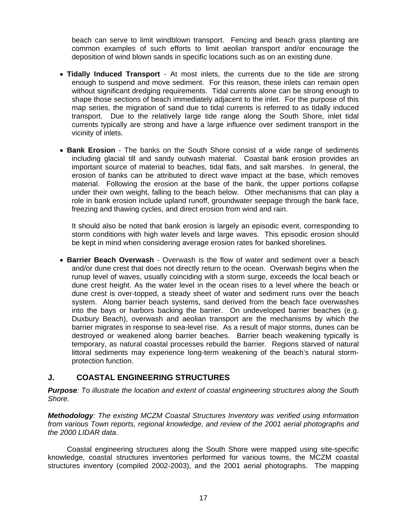beach can serve to limit windblown transport. Fencing and beach grass planting are common examples of such efforts to limit aeolian transport and/or encourage the deposition of wind blown sands in specific locations such as on an existing dune.

- **Tidally Induced Transport** At most inlets, the currents due to the tide are strong enough to suspend and move sediment. For this reason, these inlets can remain open without significant dredging requirements. Tidal currents alone can be strong enough to shape those sections of beach immediately adjacent to the inlet. For the purpose of this map series, the migration of sand due to tidal currents is referred to as tidally induced transport. Due to the relatively large tide range along the South Shore, inlet tidal currents typically are strong and have a large influence over sediment transport in the vicinity of inlets.
- **Bank Erosion** The banks on the South Shore consist of a wide range of sediments including glacial till and sandy outwash material. Coastal bank erosion provides an important source of material to beaches, tidal flats, and salt marshes. In general, the erosion of banks can be attributed to direct wave impact at the base, which removes material. Following the erosion at the base of the bank, the upper portions collapse under their own weight, falling to the beach below. Other mechanisms that can play a role in bank erosion include upland runoff, groundwater seepage through the bank face, freezing and thawing cycles, and direct erosion from wind and rain.

It should also be noted that bank erosion is largely an episodic event, corresponding to storm conditions with high water levels and large waves. This episodic erosion should be kept in mind when considering average erosion rates for banked shorelines.

• **Barrier Beach Overwash** - Overwash is the flow of water and sediment over a beach and/or dune crest that does not directly return to the ocean. Overwash begins when the runup level of waves, usually coinciding with a storm surge, exceeds the local beach or dune crest height. As the water level in the ocean rises to a level where the beach or dune crest is over-topped, a steady sheet of water and sediment runs over the beach system. Along barrier beach systems, sand derived from the beach face overwashes into the bays or harbors backing the barrier. On undeveloped barrier beaches (e.g. Duxbury Beach), overwash and aeolian transport are the mechanisms by which the barrier migrates in response to sea-level rise. As a result of major storms, dunes can be destroyed or weakened along barrier beaches. Barrier beach weakening typically is temporary, as natural coastal processes rebuild the barrier. Regions starved of natural littoral sediments may experience long-term weakening of the beach's natural stormprotection function.

#### **J. COASTAL ENGINEERING STRUCTURES**

*Purpose: To illustrate the location and extent of coastal engineering structures along the South Shore.* 

*Methodology: The existing MCZM Coastal Structures Inventory was verified using information from various Town reports, regional knowledge, and review of the 2001 aerial photographs and the 2000 LIDAR data.* 

 Coastal engineering structures along the South Shore were mapped using site-specific knowledge, coastal structures inventories performed for various towns, the MCZM coastal structures inventory (compiled 2002-2003), and the 2001 aerial photographs. The mapping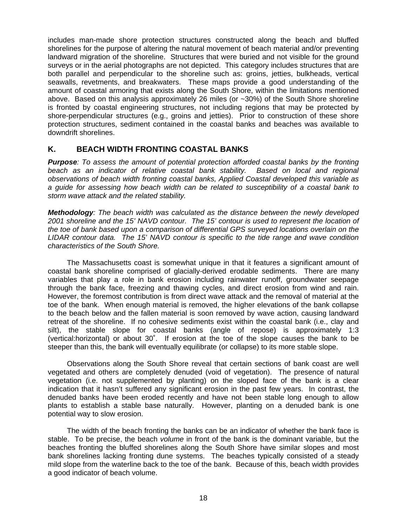includes man-made shore protection structures constructed along the beach and bluffed shorelines for the purpose of altering the natural movement of beach material and/or preventing landward migration of the shoreline. Structures that were buried and not visible for the ground surveys or in the aerial photographs are not depicted. This category includes structures that are both parallel and perpendicular to the shoreline such as: groins, jetties, bulkheads, vertical seawalls, revetments, and breakwaters. These maps provide a good understanding of the amount of coastal armoring that exists along the South Shore, within the limitations mentioned above. Based on this analysis approximately 26 miles (or ~30%) of the South Shore shoreline is fronted by coastal engineering structures, not including regions that may be protected by shore-perpendicular structures (e.g., groins and jetties). Prior to construction of these shore protection structures, sediment contained in the coastal banks and beaches was available to downdrift shorelines.

#### **K. BEACH WIDTH FRONTING COASTAL BANKS**

*Purpose: To assess the amount of potential protection afforded coastal banks by the fronting*  beach as an indicator of relative coastal bank stability. Based on local and regional *observations of beach width fronting coastal banks, Applied Coastal developed this variable as a guide for assessing how beach width can be related to susceptibility of a coastal bank to storm wave attack and the related stability.* 

*Methodology: The beach width was calculated as the distance between the newly developed 2001 shoreline and the 15' NAVD contour. The 15' contour is used to represent the location of the toe of bank based upon a comparison of differential GPS surveyed locations overlain on the LIDAR contour data. The 15' NAVD contour is specific to the tide range and wave condition characteristics of the South Shore.* 

 The Massachusetts coast is somewhat unique in that it features a significant amount of coastal bank shoreline comprised of glacially-derived erodable sediments. There are many variables that play a role in bank erosion including rainwater runoff, groundwater seepage through the bank face, freezing and thawing cycles, and direct erosion from wind and rain. However, the foremost contribution is from direct wave attack and the removal of material at the toe of the bank. When enough material is removed, the higher elevations of the bank collapse to the beach below and the fallen material is soon removed by wave action, causing landward retreat of the shoreline. If no cohesive sediments exist within the coastal bank (i.e., clay and silt), the stable slope for coastal banks (angle of repose) is approximately 1:3 (vertical:horizontal) or about 30˚. If erosion at the toe of the slope causes the bank to be steeper than this, the bank will eventually equilibrate (or collapse) to its more stable slope.

 Observations along the South Shore reveal that certain sections of bank coast are well vegetated and others are completely denuded (void of vegetation). The presence of natural vegetation (i.e. not supplemented by planting) on the sloped face of the bank is a clear indication that it hasn't suffered any significant erosion in the past few years. In contrast, the denuded banks have been eroded recently and have not been stable long enough to allow plants to establish a stable base naturally. However, planting on a denuded bank is one potential way to slow erosion.

 The width of the beach fronting the banks can be an indicator of whether the bank face is stable. To be precise, the beach *volume* in front of the bank is the dominant variable, but the beaches fronting the bluffed shorelines along the South Shore have similar slopes and most bank shorelines lacking fronting dune systems. The beaches typically consisted of a steady mild slope from the waterline back to the toe of the bank. Because of this, beach width provides a good indicator of beach volume.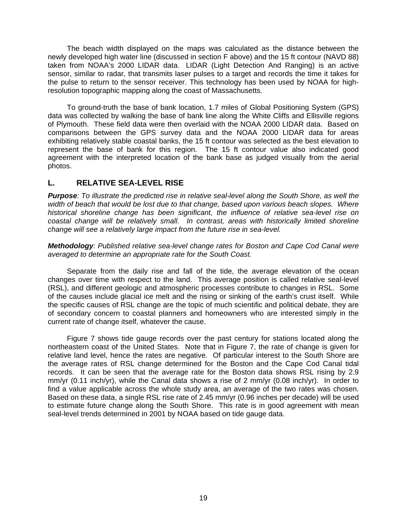The beach width displayed on the maps was calculated as the distance between the newly developed high water line (discussed in section F above) and the 15 ft contour (NAVD 88) taken from NOAA's 2000 LIDAR data. LIDAR (Light Detection And Ranging) is an active sensor, similar to radar, that transmits laser pulses to a target and records the time it takes for the pulse to return to the sensor receiver. This technology has been used by NOAA for highresolution topographic mapping along the coast of Massachusetts.

 To ground-truth the base of bank location, 1.7 miles of Global Positioning System (GPS) data was collected by walking the base of bank line along the White Cliffs and Ellisville regions of Plymouth. These field data were then overlaid with the NOAA 2000 LIDAR data. Based on comparisons between the GPS survey data and the NOAA 2000 LIDAR data for areas exhibiting relatively stable coastal banks, the 15 ft contour was selected as the best elevation to represent the base of bank for this region. The 15 ft contour value also indicated good agreement with the interpreted location of the bank base as judged visually from the aerial photos.

#### **L. RELATIVE SEA-LEVEL RISE**

*Purpose: To illustrate the predicted rise in relative seal-level along the South Shore, as well the width of beach that would be lost due to that change, based upon various beach slopes. Where historical shoreline change has been significant, the influence of relative sea-level rise on coastal change will be relatively small. In contrast, areas with historically limited shoreline change will see a relatively large impact from the future rise in sea-level.* 

*Methodology: Published relative sea-level change rates for Boston and Cape Cod Canal were averaged to determine an appropriate rate for the South Coast.* 

 Separate from the daily rise and fall of the tide, the average elevation of the ocean changes over time with respect to the land. This average position is called relative seal-level (RSL), and different geologic and atmospheric processes contribute to changes in RSL. Some of the causes include glacial ice melt and the rising or sinking of the earth's crust itself. While the specific causes of RSL change are the topic of much scientific and political debate, they are of secondary concern to coastal planners and homeowners who are interested simply in the current rate of change itself, whatever the cause.

 Figure 7 shows tide gauge records over the past century for stations located along the northeastern coast of the United States. Note that in Figure 7, the rate of change is given for relative land level, hence the rates are negative. Of particular interest to the South Shore are the average rates of RSL change determined for the Boston and the Cape Cod Canal tidal records. It can be seen that the average rate for the Boston data shows RSL rising by 2.9 mm/yr (0.11 inch/yr), while the Canal data shows a rise of 2 mm/yr (0.08 inch/yr). In order to find a value applicable across the whole study area, an average of the two rates was chosen. Based on these data, a single RSL rise rate of 2.45 mm/yr (0.96 inches per decade) will be used to estimate future change along the South Shore. This rate is in good agreement with mean seal-level trends determined in 2001 by NOAA based on tide gauge data.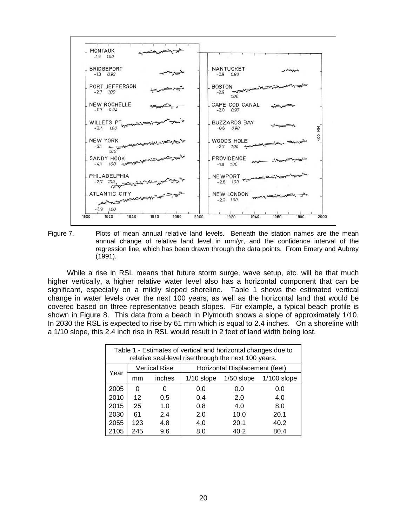

Figure 7. Plots of mean annual relative land levels. Beneath the station names are the mean annual change of relative land level in mm/yr, and the confidence interval of the regression line, which has been drawn through the data points. From Emery and Aubrey (1991).

 While a rise in RSL means that future storm surge, wave setup, etc. will be that much higher vertically, a higher relative water level also has a horizontal component that can be significant, especially on a mildly sloped shoreline. Table 1 shows the estimated vertical change in water levels over the next 100 years, as well as the horizontal land that would be covered based on three representative beach slopes. For example, a typical beach profile is shown in Figure 8. This data from a beach in Plymouth shows a slope of approximately 1/10. In 2030 the RSL is expected to rise by 61 mm which is equal to 2.4 inches. On a shoreline with a 1/10 slope, this 2.4 inch rise in RSL would result in 2 feet of land width being lost.

| Table 1 - Estimates of vertical and horizontal changes due to<br>relative seal-level rise through the next 100 years. |     |                      |                                |              |               |  |  |  |
|-----------------------------------------------------------------------------------------------------------------------|-----|----------------------|--------------------------------|--------------|---------------|--|--|--|
| Year                                                                                                                  |     | <b>Vertical Rise</b> | Horizontal Displacement (feet) |              |               |  |  |  |
|                                                                                                                       | mm  | inches               | $1/10$ slope                   | $1/50$ slope | $1/100$ slope |  |  |  |
| 2005                                                                                                                  | 0   | 0                    | 0.0                            | 0.0          | 0.0           |  |  |  |
| 2010                                                                                                                  | 12  | 0.5                  | 0.4                            | 2.0          | 4.0           |  |  |  |
| 2015                                                                                                                  | 25  | 1.0                  | 0.8                            | 4.0          | 8.0           |  |  |  |
| 2030                                                                                                                  | 61  | 2.4                  | 2.0                            | 10.0         | 20.1          |  |  |  |
| 2055                                                                                                                  | 123 | 4.8                  | 4.0                            | 20.1         | 40.2          |  |  |  |
| 2105                                                                                                                  | 245 | 9.6                  | 8.0                            | 40.2         | 80.4          |  |  |  |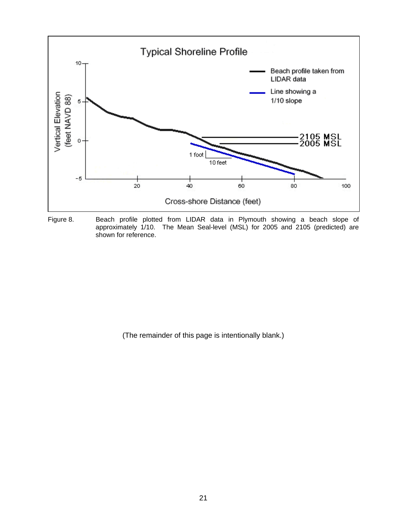

Figure 8. Beach profile plotted from LIDAR data in Plymouth showing a beach slope of approximately 1/10. The Mean Seal-level (MSL) for 2005 and 2105 (predicted) are shown for reference.

(The remainder of this page is intentionally blank.)